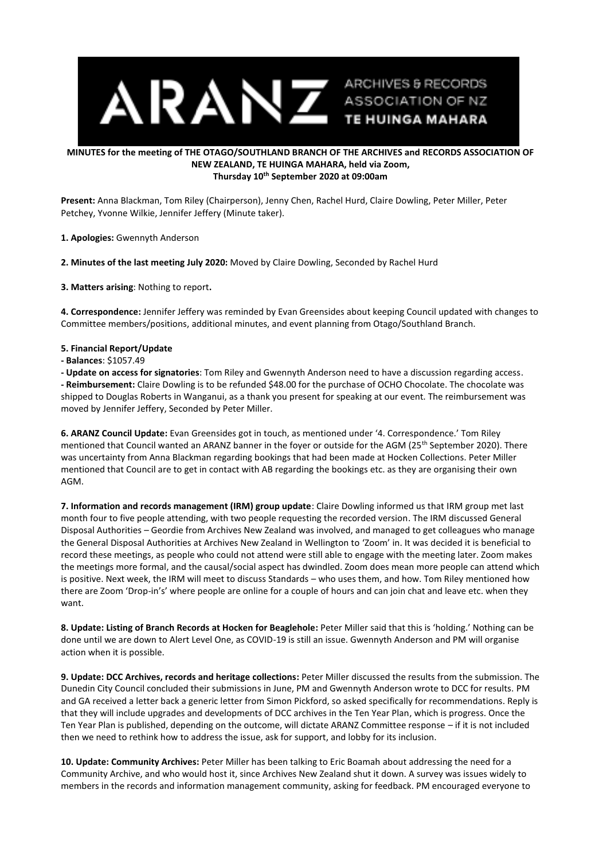

## **MINUTES for the meeting of THE OTAGO/SOUTHLAND BRANCH OF THE ARCHIVES and RECORDS ASSOCIATION OF NEW ZEALAND, TE HUINGA MAHARA, held via Zoom, Thursday 10th September 2020 at 09:00am**

**Present:** Anna Blackman, Tom Riley (Chairperson), Jenny Chen, Rachel Hurd, Claire Dowling, Peter Miller, Peter Petchey, Yvonne Wilkie, Jennifer Jeffery (Minute taker).

**1. Apologies:** Gwennyth Anderson

**2. Minutes of the last meeting July 2020:** Moved by Claire Dowling, Seconded by Rachel Hurd

**3. Matters arising**: Nothing to report**.**

**4. Correspondence:** Jennifer Jeffery was reminded by Evan Greensides about keeping Council updated with changes to Committee members/positions, additional minutes, and event planning from Otago/Southland Branch.

## **5. Financial Report/Update**

**- Balances**: \$1057.49

**- Update on access for signatories**: Tom Riley and Gwennyth Anderson need to have a discussion regarding access.

**- Reimbursement:** Claire Dowling is to be refunded \$48.00 for the purchase of OCHO Chocolate. The chocolate was shipped to Douglas Roberts in Wanganui, as a thank you present for speaking at our event. The reimbursement was moved by Jennifer Jeffery, Seconded by Peter Miller.

**6. ARANZ Council Update:** Evan Greensides got in touch, as mentioned under '4. Correspondence.' Tom Riley mentioned that Council wanted an ARANZ banner in the foyer or outside for the AGM (25th September 2020). There was uncertainty from Anna Blackman regarding bookings that had been made at Hocken Collections. Peter Miller mentioned that Council are to get in contact with AB regarding the bookings etc. as they are organising their own AGM.

**7. Information and records management (IRM) group update**: Claire Dowling informed us that IRM group met last month four to five people attending, with two people requesting the recorded version. The IRM discussed General Disposal Authorities – Geordie from Archives New Zealand was involved, and managed to get colleagues who manage the General Disposal Authorities at Archives New Zealand in Wellington to 'Zoom' in. It was decided it is beneficial to record these meetings, as people who could not attend were still able to engage with the meeting later. Zoom makes the meetings more formal, and the causal/social aspect has dwindled. Zoom does mean more people can attend which is positive. Next week, the IRM will meet to discuss Standards – who uses them, and how. Tom Riley mentioned how there are Zoom 'Drop-in's' where people are online for a couple of hours and can join chat and leave etc. when they want.

**8. Update: Listing of Branch Records at Hocken for Beaglehole:** Peter Miller said that this is 'holding.' Nothing can be done until we are down to Alert Level One, as COVID-19 is still an issue. Gwennyth Anderson and PM will organise action when it is possible.

**9. Update: DCC Archives, records and heritage collections:** Peter Miller discussed the results from the submission. The Dunedin City Council concluded their submissions in June, PM and Gwennyth Anderson wrote to DCC for results. PM and GA received a letter back a generic letter from Simon Pickford, so asked specifically for recommendations. Reply is that they will include upgrades and developments of DCC archives in the Ten Year Plan, which is progress. Once the Ten Year Plan is published, depending on the outcome, will dictate ARANZ Committee response – if it is not included then we need to rethink how to address the issue, ask for support, and lobby for its inclusion.

**10. Update: Community Archives:** Peter Miller has been talking to Eric Boamah about addressing the need for a Community Archive, and who would host it, since Archives New Zealand shut it down. A survey was issues widely to members in the records and information management community, asking for feedback. PM encouraged everyone to